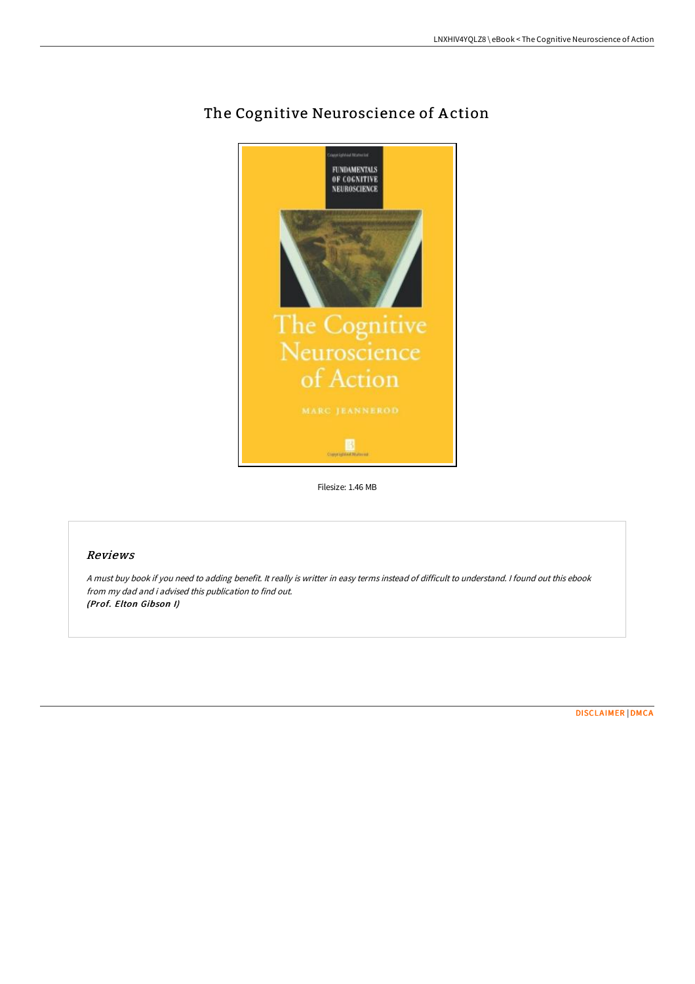

## The Cognitive Neuroscience of Action

Filesize: 1.46 MB

## Reviews

<sup>A</sup> must buy book if you need to adding benefit. It really is writter in easy terms instead of difficult to understand. <sup>I</sup> found out this ebook from my dad and i advised this publication to find out. (Prof. Elton Gibson I)

[DISCLAIMER](http://bookera.tech/disclaimer.html) | [DMCA](http://bookera.tech/dmca.html)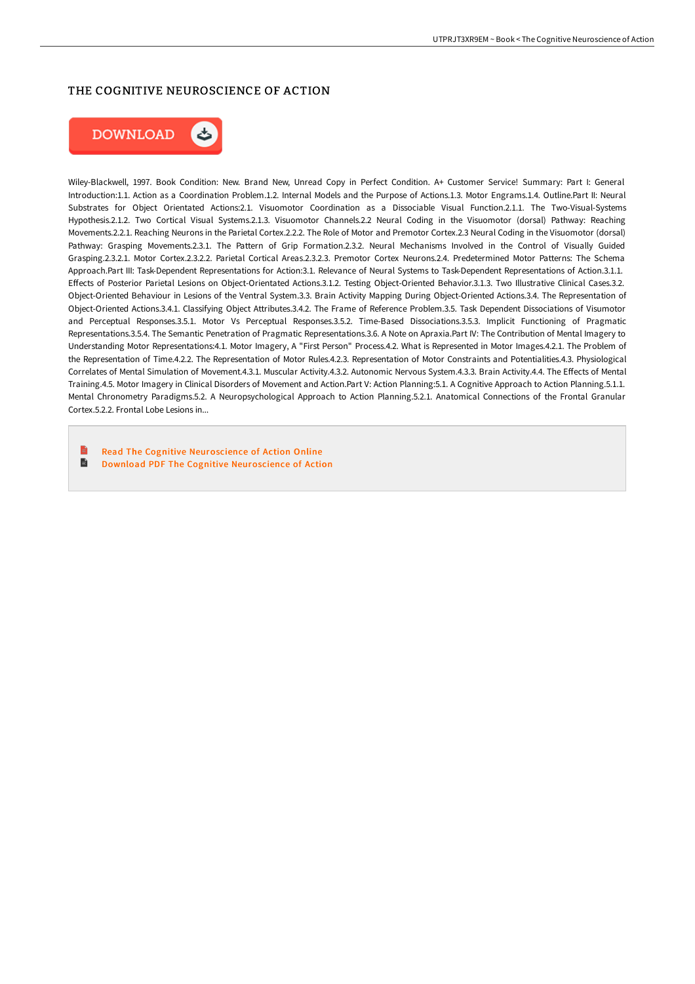## THE COGNITIVE NEUROSCIENCE OF ACTION



Wiley-Blackwell, 1997. Book Condition: New. Brand New, Unread Copy in Perfect Condition. A+ Customer Service! Summary: Part I: General Introduction:1.1. Action as a Coordination Problem.1.2. Internal Models and the Purpose of Actions.1.3. Motor Engrams.1.4. Outline.Part II: Neural Substrates for Object Orientated Actions:2.1. Visuomotor Coordination as a Dissociable Visual Function.2.1.1. The Two-Visual-Systems Hypothesis.2.1.2. Two Cortical Visual Systems.2.1.3. Visuomotor Channels.2.2 Neural Coding in the Visuomotor (dorsal) Pathway: Reaching Movements.2.2.1. Reaching Neurons in the Parietal Cortex.2.2.2. The Role of Motor and Premotor Cortex.2.3 Neural Coding in the Visuomotor (dorsal) Pathway: Grasping Movements.2.3.1. The Pattern of Grip Formation.2.3.2. Neural Mechanisms Involved in the Control of Visually Guided Grasping.2.3.2.1. Motor Cortex.2.3.2.2. Parietal Cortical Areas.2.3.2.3. Premotor Cortex Neurons.2.4. Predetermined Motor Patterns: The Schema Approach.Part III: Task-Dependent Representations for Action:3.1. Relevance of Neural Systems to Task-Dependent Representations of Action.3.1.1. Effects of Posterior Parietal Lesions on Object-Orientated Actions.3.1.2. Testing Object-Oriented Behavior.3.1.3. Two Illustrative Clinical Cases.3.2. Object-Oriented Behaviour in Lesions of the Ventral System.3.3. Brain Activity Mapping During Object-Oriented Actions.3.4. The Representation of Object-Oriented Actions.3.4.1. Classifying Object Attributes.3.4.2. The Frame of Reference Problem.3.5. Task Dependent Dissociations of Visumotor and Perceptual Responses.3.5.1. Motor Vs Perceptual Responses.3.5.2. Time-Based Dissociations.3.5.3. Implicit Functioning of Pragmatic Representations.3.5.4. The Semantic Penetration of Pragmatic Representations.3.6. A Note on Apraxia.Part IV: The Contribution of Mental Imagery to Understanding Motor Representations:4.1. Motor Imagery, A "First Person" Process.4.2. What is Represented in Motor Images.4.2.1. The Problem of the Representation of Time.4.2.2. The Representation of Motor Rules.4.2.3. Representation of Motor Constraints and Potentialities.4.3. Physiological Correlates of Mental Simulation of Movement.4.3.1. Muscular Activity.4.3.2. Autonomic Nervous System.4.3.3. Brain Activity.4.4. The EHects of Mental Training.4.5. Motor Imagery in Clinical Disorders of Movement and Action.Part V: Action Planning:5.1. A Cognitive Approach to Action Planning.5.1.1. Mental Chronometry Paradigms.5.2. A Neuropsychological Approach to Action Planning.5.2.1. Anatomical Connections of the Frontal Granular Cortex.5.2.2. Frontal Lobe Lesions in...

B Read The Cognitive [Neuroscience](http://bookera.tech/the-cognitive-neuroscience-of-action.html) of Action Online B Download PDF The Cognitive [Neuroscience](http://bookera.tech/the-cognitive-neuroscience-of-action.html) of Action